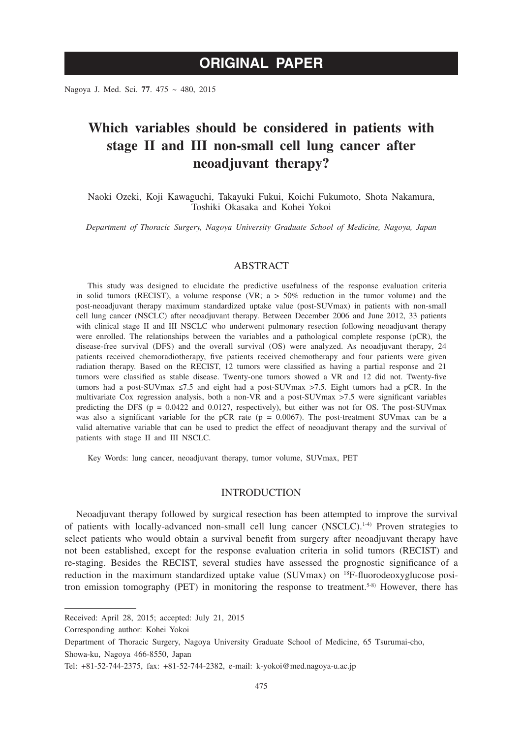Nagoya J. Med. Sci. **77**. 475 ~ 480, 2015

# **Which variables should be considered in patients with stage II and III non-small cell lung cancer after neoadjuvant therapy?**

Naoki Ozeki, Koji Kawaguchi, Takayuki Fukui, Koichi Fukumoto, Shota Nakamura, Toshiki Okasaka and Kohei Yokoi

*Department of Thoracic Surgery, Nagoya University Graduate School of Medicine, Nagoya, Japan*

#### ABSTRACT

This study was designed to elucidate the predictive usefulness of the response evaluation criteria in solid tumors (RECIST), a volume response (VR;  $a > 50\%$  reduction in the tumor volume) and the post-neoadjuvant therapy maximum standardized uptake value (post-SUVmax) in patients with non-small cell lung cancer (NSCLC) after neoadjuvant therapy. Between December 2006 and June 2012, 33 patients with clinical stage II and III NSCLC who underwent pulmonary resection following neoadjuvant therapy were enrolled. The relationships between the variables and a pathological complete response (pCR), the disease-free survival (DFS) and the overall survival (OS) were analyzed. As neoadjuvant therapy, 24 patients received chemoradiotherapy, five patients received chemotherapy and four patients were given radiation therapy. Based on the RECIST, 12 tumors were classified as having a partial response and 21 tumors were classified as stable disease. Twenty-one tumors showed a VR and 12 did not. Twenty-five tumors had a post-SUVmax ≤7.5 and eight had a post-SUVmax >7.5. Eight tumors had a pCR. In the multivariate Cox regression analysis, both a non-VR and a post-SUVmax >7.5 were significant variables predicting the DFS ( $p = 0.0422$  and 0.0127, respectively), but either was not for OS. The post-SUVmax was also a significant variable for the pCR rate (p = 0.0067). The post-treatment SUVmax can be a valid alternative variable that can be used to predict the effect of neoadjuvant therapy and the survival of patients with stage II and III NSCLC.

Key Words: lung cancer, neoadjuvant therapy, tumor volume, SUVmax, PET

## INTRODUCTION

Neoadjuvant therapy followed by surgical resection has been attempted to improve the survival of patients with locally-advanced non-small cell lung cancer  $(NSCLC)^{1.4}$  Proven strategies to select patients who would obtain a survival benefit from surgery after neoadjuvant therapy have not been established, except for the response evaluation criteria in solid tumors (RECIST) and re-staging. Besides the RECIST, several studies have assessed the prognostic significance of a reduction in the maximum standardized uptake value (SUVmax) on <sup>18</sup>F-fluorodeoxyglucose positron emission tomography (PET) in monitoring the response to treatment.5-8) However, there has

Corresponding author: Kohei Yokoi

Received: April 28, 2015; accepted: July 21, 2015

Department of Thoracic Surgery, Nagoya University Graduate School of Medicine, 65 Tsurumai-cho, Showa-ku, Nagoya 466-8550, Japan

Tel: +81-52-744-2375, fax: +81-52-744-2382, e-mail: k-yokoi@med.nagoya-u.ac.jp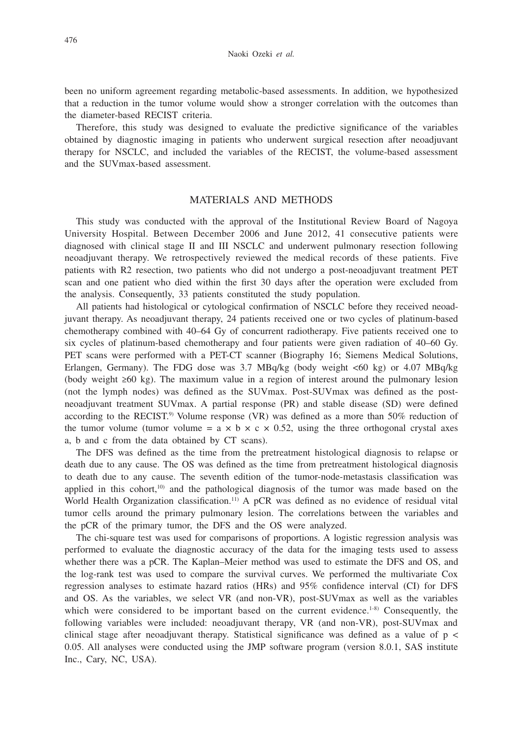been no uniform agreement regarding metabolic-based assessments. In addition, we hypothesized that a reduction in the tumor volume would show a stronger correlation with the outcomes than the diameter-based RECIST criteria.

Therefore, this study was designed to evaluate the predictive significance of the variables obtained by diagnostic imaging in patients who underwent surgical resection after neoadjuvant therapy for NSCLC, and included the variables of the RECIST, the volume-based assessment and the SUVmax-based assessment.

## MATERIALS AND METHODS

This study was conducted with the approval of the Institutional Review Board of Nagoya University Hospital. Between December 2006 and June 2012, 41 consecutive patients were diagnosed with clinical stage II and III NSCLC and underwent pulmonary resection following neoadjuvant therapy. We retrospectively reviewed the medical records of these patients. Five patients with R2 resection, two patients who did not undergo a post-neoadjuvant treatment PET scan and one patient who died within the first 30 days after the operation were excluded from the analysis. Consequently, 33 patients constituted the study population.

All patients had histological or cytological confirmation of NSCLC before they received neoadjuvant therapy. As neoadjuvant therapy, 24 patients received one or two cycles of platinum-based chemotherapy combined with 40–64 Gy of concurrent radiotherapy. Five patients received one to six cycles of platinum-based chemotherapy and four patients were given radiation of 40–60 Gy. PET scans were performed with a PET-CT scanner (Biography 16; Siemens Medical Solutions, Erlangen, Germany). The FDG dose was 3.7 MBq/kg (body weight <60 kg) or 4.07 MBq/kg (body weight ≥60 kg). The maximum value in a region of interest around the pulmonary lesion (not the lymph nodes) was defined as the SUVmax. Post-SUVmax was defined as the postneoadjuvant treatment SUVmax. A partial response (PR) and stable disease (SD) were defined according to the RECIST.<sup>9)</sup> Volume response (VR) was defined as a more than  $50\%$  reduction of the tumor volume (tumor volume =  $a \times b \times c \times 0.52$ , using the three orthogonal crystal axes a, b and c from the data obtained by CT scans).

The DFS was defined as the time from the pretreatment histological diagnosis to relapse or death due to any cause. The OS was defined as the time from pretreatment histological diagnosis to death due to any cause. The seventh edition of the tumor-node-metastasis classification was applied in this cohort,<sup>10)</sup> and the pathological diagnosis of the tumor was made based on the World Health Organization classification.<sup>11)</sup> A pCR was defined as no evidence of residual vital tumor cells around the primary pulmonary lesion. The correlations between the variables and the pCR of the primary tumor, the DFS and the OS were analyzed.

The chi-square test was used for comparisons of proportions. A logistic regression analysis was performed to evaluate the diagnostic accuracy of the data for the imaging tests used to assess whether there was a pCR. The Kaplan–Meier method was used to estimate the DFS and OS, and the log-rank test was used to compare the survival curves. We performed the multivariate Cox regression analyses to estimate hazard ratios (HRs) and 95% confidence interval (CI) for DFS and OS. As the variables, we select VR (and non-VR), post-SUVmax as well as the variables which were considered to be important based on the current evidence.<sup>1-8)</sup> Consequently, the following variables were included: neoadjuvant therapy, VR (and non-VR), post-SUVmax and clinical stage after neoadjuvant therapy. Statistical significance was defined as a value of  $p <$ 0.05. All analyses were conducted using the JMP software program (version 8.0.1, SAS institute Inc., Cary, NC, USA).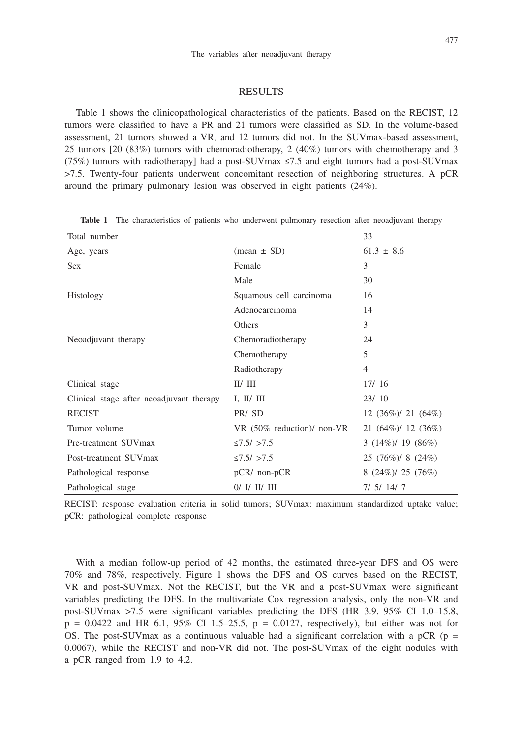#### RESULTS

Table 1 shows the clinicopathological characteristics of the patients. Based on the RECIST, 12 tumors were classified to have a PR and 21 tumors were classified as SD. In the volume-based assessment, 21 tumors showed a VR, and 12 tumors did not. In the SUVmax-based assessment, 25 tumors [20 (83%) tumors with chemoradiotherapy, 2 (40%) tumors with chemotherapy and 3 (75%) tumors with radiotherapy] had a post-SUVmax ≤7.5 and eight tumors had a post-SUVmax >7.5. Twenty-four patients underwent concomitant resection of neighboring structures. A pCR around the primary pulmonary lesion was observed in eight patients (24%).

| Total number                             |                               | 33                      |
|------------------------------------------|-------------------------------|-------------------------|
| Age, years                               | $(\text{mean} \pm \text{SD})$ | $61.3 \pm 8.6$          |
| <b>Sex</b>                               | Female                        | 3                       |
|                                          | Male                          | 30                      |
| Histology                                | Squamous cell carcinoma       | 16                      |
|                                          | Adenocarcinoma                | 14                      |
|                                          | Others                        | 3                       |
| Neoadjuvant therapy                      | Chemoradiotherapy             | 24                      |
|                                          | Chemotherapy                  | 5                       |
|                                          | Radiotherapy                  | $\overline{4}$          |
| Clinical stage                           | II/III                        | 17/16                   |
| Clinical stage after neoadjuvant therapy | I, II/ III                    | 23/10                   |
| <b>RECIST</b>                            | PR/SD                         | 12 $(36\%)/21$ $(64\%)$ |
| Tumor volume                             | VR (50% reduction)/ non-VR    | $21 (64\%)/12 (36\%)$   |
| Pre-treatment SUVmax                     | $\leq 7.5/$ >7.5              | $3(14\%)/19(86\%)$      |
| Post-treatment SUVmax                    | $\leq 7.5/$ >7.5              | $25 (76\%)/8 (24\%)$    |
| Pathological response                    | $pCR/$ non- $pCR$             | $8(24\%)/25(76\%)$      |
| Pathological stage                       | $0/$ I/ II/ III               | 7/5/14/7                |

**Table 1** The characteristics of patients who underwent pulmonary resection after neoadjuvant therapy

RECIST: response evaluation criteria in solid tumors; SUVmax: maximum standardized uptake value; pCR: pathological complete response

With a median follow-up period of 42 months, the estimated three-year DFS and OS were 70% and 78%, respectively. Figure 1 shows the DFS and OS curves based on the RECIST, VR and post-SUVmax. Not the RECIST, but the VR and a post-SUVmax were significant variables predicting the DFS. In the multivariate Cox regression analysis, only the non-VR and post-SUVmax >7.5 were significant variables predicting the DFS (HR 3.9, 95% CI 1.0–15.8,  $p = 0.0422$  and HR 6.1, 95% CI 1.5–25.5,  $p = 0.0127$ , respectively), but either was not for OS. The post-SUV max as a continuous valuable had a significant correlation with a pCR ( $p =$ 0.0067), while the RECIST and non-VR did not. The post-SUVmax of the eight nodules with a pCR ranged from 1.9 to 4.2.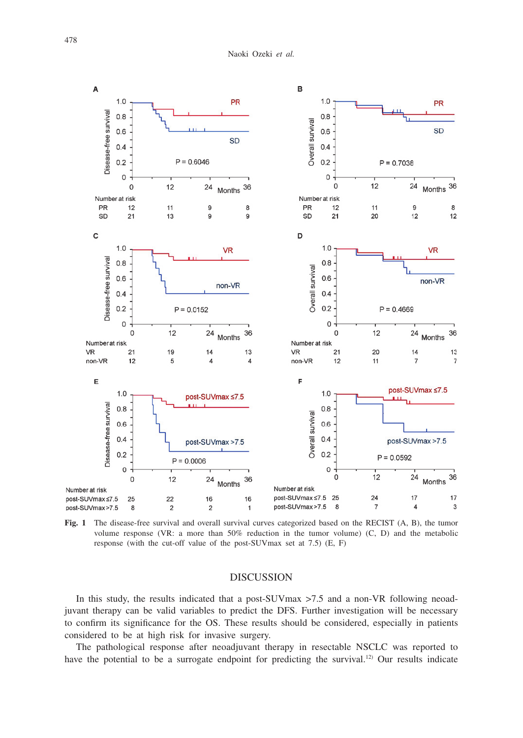

**Fig. 1** The disease-free survival and overall survival curves categorized based on the RECIST (A, B), the tumor volume response (VR: a more than 50% reduction in the tumor volume) (C, D) and the metabolic response (with the cut-off value of the post-SUVmax set at 7.5) (E, F)

## DISCUSSION

In this study, the results indicated that a post-SUVmax >7.5 and a non-VR following neoadjuvant therapy can be valid variables to predict the DFS. Further investigation will be necessary to confirm its significance for the OS. These results should be considered, especially in patients considered to be at high risk for invasive surgery.

The pathological response after neoadjuvant therapy in resectable NSCLC was reported to have the potential to be a surrogate endpoint for predicting the survival.<sup>12)</sup> Our results indicate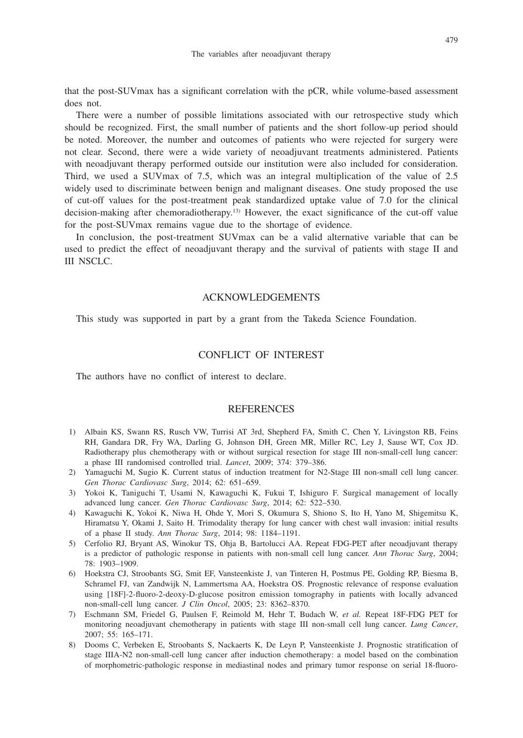that the post-SUVmax has a significant correlation with the pCR, while volume-based assessment does not.

There were a number of possible limitations associated with our retrospective study which should be recognized. First, the small number of patients and the short follow-up period should be noted. Moreover, the number and outcomes of patients who were rejected for surgery were not clear. Second, there were a wide variety of neoadjuvant treatments administered. Patients with neoadjuvant therapy performed outside our institution were also included for consideration. Third, we used a SUVmax of 7.5, which was an integral multiplication of the value of 2.5 widely used to discriminate between benign and malignant diseases. One study proposed the use of cut-off values for the post-treatment peak standardized uptake value of 7.0 for the clinical decision-making after chemoradiotherapy.13) However, the exact significance of the cut-off value for the post-SUVmax remains vague due to the shortage of evidence.

In conclusion, the post-treatment SUVmax can be a valid alternative variable that can be used to predict the effect of neoadjuvant therapy and the survival of patients with stage II and III NSCLC.

#### ACKNOWLEDGEMENTS

This study was supported in part by a grant from the Takeda Science Foundation.

## CONFLICT OF INTEREST

The authors have no conflict of interest to declare.

### **REFERENCES**

- 1) Albain KS, Swann RS, Rusch VW, Turrisi AT 3rd, Shepherd FA, Smith C, Chen Y, Livingston RB, Feins RH, Gandara DR, Fry WA, Darling G, Johnson DH, Green MR, Miller RC, Ley J, Sause WT, Cox JD. Radiotherapy plus chemotherapy with or without surgical resection for stage III non-small-cell lung cancer: a phase III randomised controlled trial. *Lancet*, 2009; 374: 379–386.
- 2) Yamaguchi M, Sugio K. Current status of induction treatment for N2-Stage III non-small cell lung cancer. *Gen Thorac Cardiovasc Surg*, 2014; 62: 651–659.
- 3) Yokoi K, Taniguchi T, Usami N, Kawaguchi K, Fukui T, Ishiguro F. Surgical management of locally advanced lung cancer. *Gen Thorac Cardiovasc Surg*, 2014; 62: 522–530.
- 4) Kawaguchi K, Yokoi K, Niwa H, Ohde Y, Mori S, Okumura S, Shiono S, Ito H, Yano M, Shigemitsu K, Hiramatsu Y, Okami J, Saito H. Trimodality therapy for lung cancer with chest wall invasion: initial results of a phase II study. *Ann Thorac Surg*, 2014; 98: 1184–1191.
- 5) Cerfolio RJ, Bryant AS, Winokur TS, Ohja B, Bartolucci AA. Repeat FDG-PET after neoadjuvant therapy is a predictor of pathologic response in patients with non-small cell lung cancer. *Ann Thorac Surg*, 2004; 78: 1903–1909.
- 6) Hoekstra CJ, Stroobants SG, Smit EF, Vansteenkiste J, van Tinteren H, Postmus PE, Golding RP, Biesma B, Schramel FJ, van Zandwijk N, Lammertsma AA, Hoekstra OS. Prognostic relevance of response evaluation using [18F]-2-fluoro-2-deoxy-D-glucose positron emission tomography in patients with locally advanced non-small-cell lung cancer. *J Clin Oncol*, 2005; 23: 8362–8370.
- 7) Eschmann SM, Friedel G, Paulsen F, Reimold M, Hehr T, Budach W, *et al.* Repeat 18F-FDG PET for monitoring neoadjuvant chemotherapy in patients with stage III non-small cell lung cancer. *Lung Cancer*, 2007; 55: 165–171.
- 8) Dooms C, Verbeken E, Stroobants S, Nackaerts K, De Leyn P, Vansteenkiste J. Prognostic stratification of stage IIIA-N2 non-small-cell lung cancer after induction chemotherapy: a model based on the combination of morphometric-pathologic response in mediastinal nodes and primary tumor response on serial 18-fluoro-